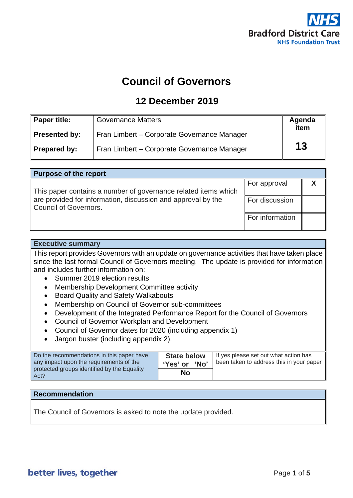

# **Council of Governors**

# **12 December 2019**

| <b>Paper title:</b>  | <b>Governance Matters</b>                   | Agenda<br>item |
|----------------------|---------------------------------------------|----------------|
| <b>Presented by:</b> | Fran Limbert - Corporate Governance Manager |                |
| <b>Prepared by:</b>  | Fran Limbert – Corporate Governance Manager | 13             |

| <b>Purpose of the report</b>                                   |                 |  |  |
|----------------------------------------------------------------|-----------------|--|--|
|                                                                | For approval    |  |  |
| This paper contains a number of governance related items which |                 |  |  |
| are provided for information, discussion and approval by the   | For discussion  |  |  |
| Council of Governors.                                          |                 |  |  |
|                                                                | For information |  |  |
|                                                                |                 |  |  |

### **Executive summary**

This report provides Governors with an update on governance activities that have taken place since the last formal Council of Governors meeting. The update is provided for information and includes further information on:

- Summer 2019 election results
- Membership Development Committee activity
- Board Quality and Safety Walkabouts
- Membership on Council of Governor sub-committees
- Development of the Integrated Performance Report for the Council of Governors
- Council of Governor Workplan and Development
- Council of Governor dates for 2020 (including appendix 1)
- Jargon buster (including appendix 2).

| Do the recommendations in this paper have<br>any impact upon the requirements of the<br>protected groups identified by the Equality<br>Act? | <b>State below</b><br>ʻNo'<br>'Yes' or | If yes please set out what action has<br>been taken to address this in your paper |
|---------------------------------------------------------------------------------------------------------------------------------------------|----------------------------------------|-----------------------------------------------------------------------------------|
|                                                                                                                                             | No                                     |                                                                                   |

### **Recommendation**

The Council of Governors is asked to note the update provided.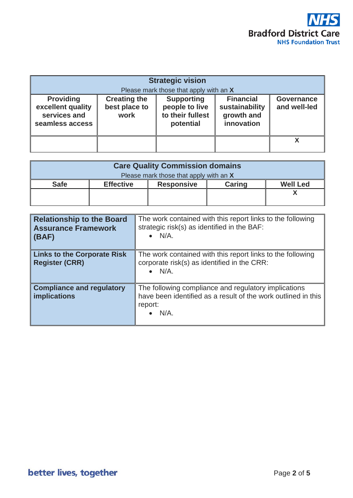

| <b>Strategic vision</b><br>Please mark those that apply with an X        |                                              |                                                                      |                                                                |                                   |
|--------------------------------------------------------------------------|----------------------------------------------|----------------------------------------------------------------------|----------------------------------------------------------------|-----------------------------------|
| <b>Providing</b><br>excellent quality<br>services and<br>seamless access | <b>Creating the</b><br>best place to<br>work | <b>Supporting</b><br>people to live<br>to their fullest<br>potential | <b>Financial</b><br>sustainability<br>growth and<br>innovation | <b>Governance</b><br>and well-led |
|                                                                          |                                              |                                                                      |                                                                |                                   |

| <b>Care Quality Commission domains</b> |                  |                   |               |                 |
|----------------------------------------|------------------|-------------------|---------------|-----------------|
| Please mark those that apply with an X |                  |                   |               |                 |
| <b>Safe</b>                            | <b>Effective</b> | <b>Responsive</b> | <b>Caring</b> | <b>Well Led</b> |
|                                        |                  |                   |               |                 |
|                                        |                  |                   |               |                 |

| <b>Relationship to the Board</b><br><b>Assurance Framework</b><br>$\vert$ (BAF) | The work contained with this report links to the following<br>strategic risk(s) as identified in the BAF:<br>$\bullet$ N/A.                 |
|---------------------------------------------------------------------------------|---------------------------------------------------------------------------------------------------------------------------------------------|
| Links to the Corporate Risk<br><b>Register (CRR)</b>                            | The work contained with this report links to the following<br>corporate risk(s) as identified in the CRR:<br>$\bullet$ N/A.                 |
| Compliance and regulatory<br>implications                                       | The following compliance and regulatory implications<br>have been identified as a result of the work outlined in this<br>report:<br>$N/A$ . |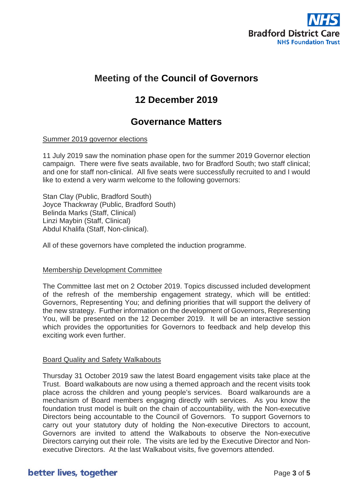

# **Meeting of the Council of Governors**

# **12 December 2019**

## **Governance Matters**

### Summer 2019 governor elections

11 July 2019 saw the nomination phase open for the summer 2019 Governor election campaign. There were five seats available, two for Bradford South; two staff clinical; and one for staff non-clinical. All five seats were successfully recruited to and I would like to extend a very warm welcome to the following governors:

Stan Clay (Public, Bradford South) Joyce Thackwray (Public, Bradford South) Belinda Marks (Staff, Clinical) Linzi Maybin (Staff, Clinical) Abdul Khalifa (Staff, Non-clinical).

All of these governors have completed the induction programme.

### Membership Development Committee

The Committee last met on 2 October 2019. Topics discussed included development of the refresh of the membership engagement strategy, which will be entitled: Governors, Representing You; and defining priorities that will support the delivery of the new strategy. Further information on the development of Governors, Representing You, will be presented on the 12 December 2019. It will be an interactive session which provides the opportunities for Governors to feedback and help develop this exciting work even further.

### Board Quality and Safety Walkabouts

Thursday 31 October 2019 saw the latest Board engagement visits take place at the Trust. Board walkabouts are now using a themed approach and the recent visits took place across the children and young people's services. Board walkarounds are a mechanism of Board members engaging directly with services. As you know the foundation trust model is built on the chain of accountability, with the Non-executive Directors being accountable to the Council of Governors. To support Governors to carry out your statutory duty of holding the Non-executive Directors to account, Governors are invited to attend the Walkabouts to observe the Non-executive Directors carrying out their role. The visits are led by the Executive Director and Nonexecutive Directors. At the last Walkabout visits, five governors attended.

### better lives, together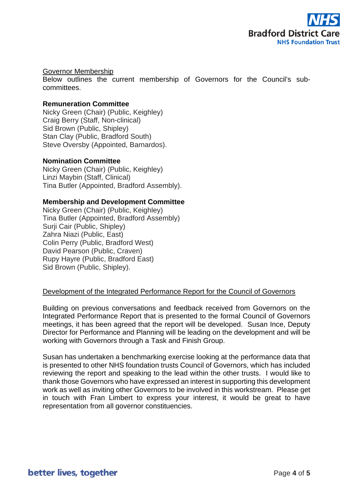

### Governor Membership

Below outlines the current membership of Governors for the Council's subcommittees.

### **Remuneration Committee**

Nicky Green (Chair) (Public, Keighley) Craig Berry (Staff, Non-clinical) Sid Brown (Public, Shipley) Stan Clay (Public, Bradford South) Steve Oversby (Appointed, Barnardos).

### **Nomination Committee**

Nicky Green (Chair) (Public, Keighley) Linzi Maybin (Staff, Clinical) Tina Butler (Appointed, Bradford Assembly).

### **Membership and Development Committee**

Nicky Green (Chair) (Public, Keighley) Tina Butler (Appointed, Bradford Assembly) Surji Cair (Public, Shipley) Zahra Niazi (Public, East) Colin Perry (Public, Bradford West) David Pearson (Public, Craven) Rupy Hayre (Public, Bradford East) Sid Brown (Public, Shipley).

### Development of the Integrated Performance Report for the Council of Governors

Building on previous conversations and feedback received from Governors on the Integrated Performance Report that is presented to the formal Council of Governors meetings, it has been agreed that the report will be developed. Susan Ince, Deputy Director for Performance and Planning will be leading on the development and will be working with Governors through a Task and Finish Group.

Susan has undertaken a benchmarking exercise looking at the performance data that is presented to other NHS foundation trusts Council of Governors, which has included reviewing the report and speaking to the lead within the other trusts. I would like to thank those Governors who have expressed an interest in supporting this development work as well as inviting other Governors to be involved in this workstream. Please get in touch with Fran Limbert to express your interest, it would be great to have representation from all governor constituencies.